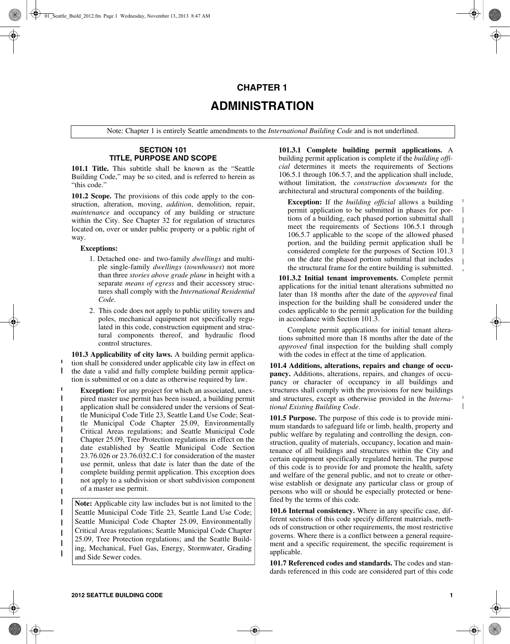# **CHAPTER 1 ADMINISTRATION**

Note: Chapter 1 is entirely Seattle amendments to the *International Building Code* and is not underlined.

# **SECTION 101 TITLE, PURPOSE AND SCOPE**

**101.1 Title.** This subtitle shall be known as the "Seattle Building Code," may be so cited, and is referred to herein as "this code."

**101.2 Scope.** The provisions of this code apply to the construction, alteration, moving, *addition*, demolition, repair, *maintenance* and occupancy of any building or structure within the City. See Chapter 32 for regulation of structures located on, over or under public property or a public right of way.

## **Exceptions:**

 $\mathbf{I}$ 

 $\mathbf{I}$ 

 $\mathbf{I}$  $\mathbf{I}$  $\mathbf I$  $\mathbf{I}$ 

- 1. Detached one- and two-family *dwellings* and multiple single-family *dwellings* (*townhouses*) not more than three *stories above grade plane* in height with a separate *means of egress* and their accessory structures shall comply with the *International Residential Code*.
- 2. This code does not apply to public utility towers and poles, mechanical equipment not specifically regulated in this code, construction equipment and structural components thereof, and hydraulic flood control structures.

**101.3 Applicability of city laws.** A building permit application shall be considered under applicable city law in effect on the date a valid and fully complete building permit applica- $\mathbf{I}$ tion is submitted or on a date as otherwise required by law.

**Exception:** For any project for which an associated, unex- $\mathbf{I}$ pired master use permit has been issued, a building permit application shall be considered under the versions of Seattle Municipal Code Title 23, Seattle Land Use Code; Seat- $\mathbf{I}$ tle Municipal Code Chapter 25.09, Environmentally  $\mathbf{I}$ Critical Areas regulations; and Seattle Municipal Code Chapter 25.09, Tree Protection regulations in effect on the date established by Seattle Municipal Code Section 23.76.026 or 23.76.032.C.1 for consideration of the master use permit, unless that date is later than the date of the complete building permit application. This exception does not apply to a subdivision or short subdivision component of a master use permit.

**Note:** Applicable city law includes but is not limited to the Seattle Municipal Code Title 23, Seattle Land Use Code; Seattle Municipal Code Chapter 25.09, Environmentally Critical Areas regulations; Seattle Municipal Code Chapter 25.09, Tree Protection regulations; and the Seattle Building, Mechanical, Fuel Gas, Energy, Stormwater, Grading and Side Sewer codes.

**101.3.1 Complete building permit applications.** A building permit application is complete if the *building official* determines it meets the requirements of Sections 106.5.1 through 106.5.7, and the application shall include, without limitation, the *construction documents* for the architectural and structural components of the building.

**Exception:** If the *building official* allows a building permit application to be submitted in phases for portions of a building, each phased portion submittal shall meet the requirements of Sections 106.5.1 through 106.5.7 applicable to the scope of the allowed phased portion, and the building permit application shall be considered complete for the purposes of Section 101.3 on the date the phased portion submittal that includes the structural frame for the entire building is submitted.

**101.3.2 Initial tenant improvements.** Complete permit applications for the initial tenant alterations submitted no later than 18 months after the date of the *approved* final inspection for the building shall be considered under the codes applicable to the permit application for the building in accordance with Section 101.3.

Complete permit applications for initial tenant alterations submitted more than 18 months after the date of the *approved* final inspection for the building shall comply with the codes in effect at the time of application.

**101.4 Additions, alterations, repairs and change of occupancy.** Additions, alterations, repairs, and changes of occupancy or character of occupancy in all buildings and structures shall comply with the provisions for new buildings and structures, except as otherwise provided in the *International Existing Building Code*.

**101.5 Purpose.** The purpose of this code is to provide minimum standards to safeguard life or limb, health, property and public welfare by regulating and controlling the design, construction, quality of materials, occupancy, location and maintenance of all buildings and structures within the City and certain equipment specifically regulated herein. The purpose of this code is to provide for and promote the health, safety and welfare of the general public, and not to create or otherwise establish or designate any particular class or group of persons who will or should be especially protected or benefited by the terms of this code.

**101.6 Internal consistency.** Where in any specific case, different sections of this code specify different materials, methods of construction or other requirements, the most restrictive governs. Where there is a conflict between a general requirement and a specific requirement, the specific requirement is applicable.

**101.7 Referenced codes and standards.** The codes and standards referenced in this code are considered part of this code  $\mathbf I$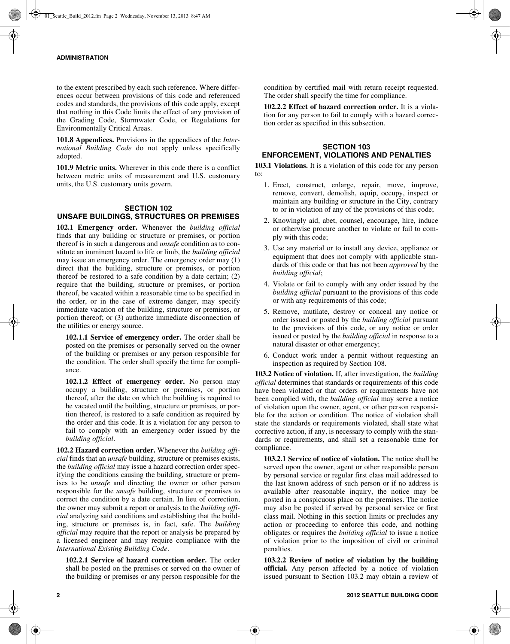to the extent prescribed by each such reference. Where differences occur between provisions of this code and referenced codes and standards, the provisions of this code apply, except that nothing in this Code limits the effect of any provision of the Grading Code, Stormwater Code, or Regulations for Environmentally Critical Areas.

**101.8 Appendices.** Provisions in the appendices of the *International Building Code* do not apply unless specifically adopted.

**101.9 Metric units.** Wherever in this code there is a conflict between metric units of measurement and U.S. customary units, the U.S. customary units govern.

#### **SECTION 102 UNSAFE BUILDINGS, STRUCTURES OR PREMISES**

**102.1 Emergency order.** Whenever the *building official* finds that any building or structure or premises, or portion thereof is in such a dangerous and *unsafe* condition as to constitute an imminent hazard to life or limb, the *building official* may issue an emergency order. The emergency order may (1) direct that the building, structure or premises, or portion thereof be restored to a safe condition by a date certain; (2) require that the building, structure or premises, or portion thereof, be vacated within a reasonable time to be specified in the order, or in the case of extreme danger, may specify immediate vacation of the building, structure or premises, or portion thereof; or (3) authorize immediate disconnection of the utilities or energy source.

**102.1.1 Service of emergency order.** The order shall be posted on the premises or personally served on the owner of the building or premises or any person responsible for the condition. The order shall specify the time for compliance.

**102.1.2 Effect of emergency order.** No person may occupy a building, structure or premises, or portion thereof, after the date on which the building is required to be vacated until the building, structure or premises, or portion thereof, is restored to a safe condition as required by the order and this code. It is a violation for any person to fail to comply with an emergency order issued by the *building official*.

**102.2 Hazard correction order.** Whenever the *building official* finds that an *unsafe* building, structure or premises exists, the *building official* may issue a hazard correction order specifying the conditions causing the building, structure or premises to be *unsafe* and directing the owner or other person responsible for the *unsafe* building, structure or premises to correct the condition by a date certain. In lieu of correction, the owner may submit a report or analysis to the *building official* analyzing said conditions and establishing that the building, structure or premises is, in fact, safe. The *building official* may require that the report or analysis be prepared by a licensed engineer and may require compliance with the *International Existing Building Code*.

**102.2.1 Service of hazard correction order.** The order shall be posted on the premises or served on the owner of the building or premises or any person responsible for the condition by certified mail with return receipt requested. The order shall specify the time for compliance.

**102.2.2 Effect of hazard correction order.** It is a violation for any person to fail to comply with a hazard correction order as specified in this subsection.

## **SECTION 103 ENFORCEMENT, VIOLATIONS AND PENALTIES**

**103.1 Violations.** It is a violation of this code for any person to:

- 1. Erect, construct, enlarge, repair, move, improve, remove, convert, demolish, equip, occupy, inspect or maintain any building or structure in the City, contrary to or in violation of any of the provisions of this code;
- 2. Knowingly aid, abet, counsel, encourage, hire, induce or otherwise procure another to violate or fail to comply with this code;
- 3. Use any material or to install any device, appliance or equipment that does not comply with applicable standards of this code or that has not been *approved* by the *building official*;
- 4. Violate or fail to comply with any order issued by the *building official* pursuant to the provisions of this code or with any requirements of this code;
- 5. Remove, mutilate, destroy or conceal any notice or order issued or posted by the *building official* pursuant to the provisions of this code, or any notice or order issued or posted by the *building official* in response to a natural disaster or other emergency;
- 6. Conduct work under a permit without requesting an inspection as required by Section 108.

**103.2 Notice of violation.** If, after investigation, the *building official* determines that standards or requirements of this code have been violated or that orders or requirements have not been complied with, the *building official* may serve a notice of violation upon the owner, agent, or other person responsible for the action or condition. The notice of violation shall state the standards or requirements violated, shall state what corrective action, if any, is necessary to comply with the standards or requirements, and shall set a reasonable time for compliance.

**103.2.1 Service of notice of violation.** The notice shall be served upon the owner, agent or other responsible person by personal service or regular first class mail addressed to the last known address of such person or if no address is available after reasonable inquiry, the notice may be posted in a conspicuous place on the premises. The notice may also be posted if served by personal service or first class mail. Nothing in this section limits or precludes any action or proceeding to enforce this code, and nothing obligates or requires the *building official* to issue a notice of violation prior to the imposition of civil or criminal penalties.

**103.2.2 Review of notice of violation by the building official.** Any person affected by a notice of violation issued pursuant to Section 103.2 may obtain a review of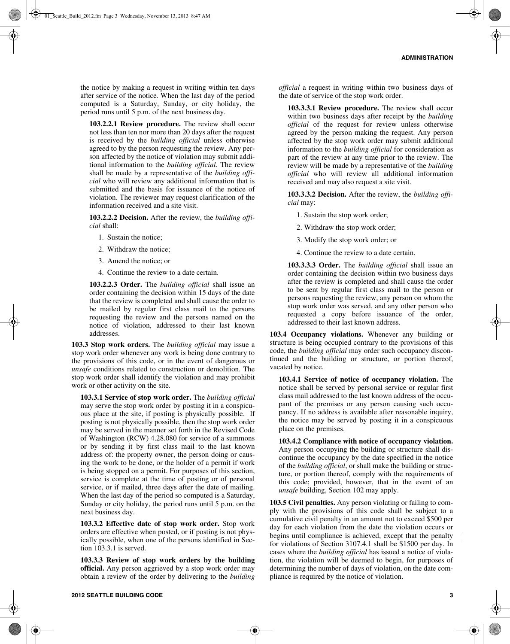the notice by making a request in writing within ten days after service of the notice. When the last day of the period computed is a Saturday, Sunday, or city holiday, the period runs until 5 p.m. of the next business day.

**103.2.2.1 Review procedure.** The review shall occur not less than ten nor more than 20 days after the request is received by the *building official* unless otherwise agreed to by the person requesting the review. Any person affected by the notice of violation may submit additional information to the *building official*. The review shall be made by a representative of the *building official* who will review any additional information that is submitted and the basis for issuance of the notice of violation. The reviewer may request clarification of the information received and a site visit.

**103.2.2.2 Decision.** After the review, the *building official* shall:

- 1. Sustain the notice;
- 2. Withdraw the notice;
- 3. Amend the notice; or
- 4. Continue the review to a date certain.

**103.2.2.3 Order.** The *building official* shall issue an order containing the decision within 15 days of the date that the review is completed and shall cause the order to be mailed by regular first class mail to the persons requesting the review and the persons named on the notice of violation, addressed to their last known addresses.

**103.3 Stop work orders.** The *building official* may issue a stop work order whenever any work is being done contrary to the provisions of this code, or in the event of dangerous or *unsafe* conditions related to construction or demolition. The stop work order shall identify the violation and may prohibit work or other activity on the site.

**103.3.1 Service of stop work order.** The *building official* may serve the stop work order by posting it in a conspicuous place at the site, if posting is physically possible. If posting is not physically possible, then the stop work order may be served in the manner set forth in the Revised Code of Washington (RCW) 4.28.080 for service of a summons or by sending it by first class mail to the last known address of: the property owner, the person doing or causing the work to be done, or the holder of a permit if work is being stopped on a permit. For purposes of this section, service is complete at the time of posting or of personal service, or if mailed, three days after the date of mailing. When the last day of the period so computed is a Saturday, Sunday or city holiday, the period runs until 5 p.m. on the next business day.

**103.3.2 Effective date of stop work order.** Stop work orders are effective when posted, or if posting is not physically possible, when one of the persons identified in Section 103.3.1 is served.

**103.3.3 Review of stop work orders by the building official.** Any person aggrieved by a stop work order may obtain a review of the order by delivering to the *building*

**103.3.3.1 Review procedure.** The review shall occur within two business days after receipt by the *building official* of the request for review unless otherwise agreed by the person making the request. Any person affected by the stop work order may submit additional information to the *building official* for consideration as part of the review at any time prior to the review. The review will be made by a representative of the *building official* who will review all additional information received and may also request a site visit.

**103.3.3.2 Decision.** After the review, the *building official* may:

- 1. Sustain the stop work order;
- 2. Withdraw the stop work order;
- 3. Modify the stop work order; or
- 4. Continue the review to a date certain.

**103.3.3.3 Order.** The *building official* shall issue an order containing the decision within two business days after the review is completed and shall cause the order to be sent by regular first class mail to the person or persons requesting the review, any person on whom the stop work order was served, and any other person who requested a copy before issuance of the order, addressed to their last known address.

**103.4 Occupancy violations.** Whenever any building or structure is being occupied contrary to the provisions of this code, the *building official* may order such occupancy discontinued and the building or structure, or portion thereof, vacated by notice.

**103.4.1 Service of notice of occupancy violation.** The notice shall be served by personal service or regular first class mail addressed to the last known address of the occupant of the premises or any person causing such occupancy. If no address is available after reasonable inquiry, the notice may be served by posting it in a conspicuous place on the premises.

**103.4.2 Compliance with notice of occupancy violation.** Any person occupying the building or structure shall discontinue the occupancy by the date specified in the notice of the *building official*, or shall make the building or structure, or portion thereof, comply with the requirements of this code; provided, however, that in the event of an *unsafe* building, Section 102 may apply.

**103.5 Civil penalties.** Any person violating or failing to comply with the provisions of this code shall be subject to a cumulative civil penalty in an amount not to exceed \$500 per day for each violation from the date the violation occurs or begins until compliance is achieved, except that the penalty for violations of Section 3107.4.1 shall be \$1500 per day. In cases where the *building official* has issued a notice of violation, the violation will be deemed to begin, for purposes of determining the number of days of violation, on the date compliance is required by the notice of violation.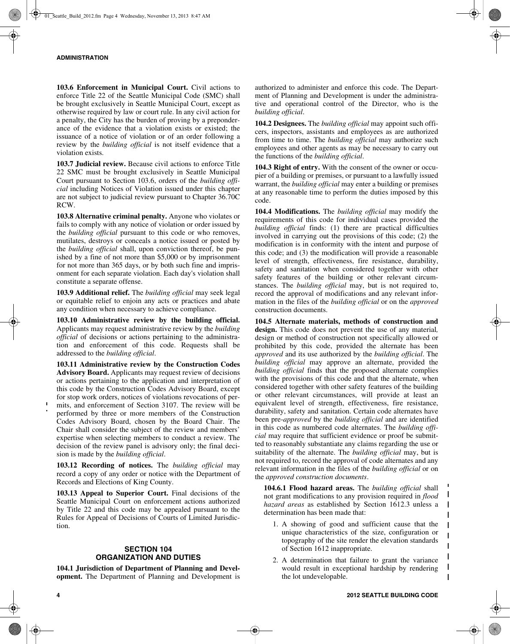**103.6 Enforcement in Municipal Court.** Civil actions to enforce Title 22 of the Seattle Municipal Code (SMC) shall be brought exclusively in Seattle Municipal Court, except as otherwise required by law or court rule. In any civil action for a penalty, the City has the burden of proving by a preponderance of the evidence that a violation exists or existed; the issuance of a notice of violation or of an order following a review by the *building official* is not itself evidence that a violation exists.

**103.7 Judicial review.** Because civil actions to enforce Title 22 SMC must be brought exclusively in Seattle Municipal Court pursuant to Section 103.6, orders of the *building official* including Notices of Violation issued under this chapter are not subject to judicial review pursuant to Chapter 36.70C RCW.

**103.8 Alternative criminal penalty.** Anyone who violates or fails to comply with any notice of violation or order issued by the *building official* pursuant to this code or who removes, mutilates, destroys or conceals a notice issued or posted by the *building official* shall, upon conviction thereof, be punished by a fine of not more than \$5,000 or by imprisonment for not more than 365 days, or by both such fine and imprisonment for each separate violation. Each day's violation shall constitute a separate offense.

**103.9 Additional relief.** The *building official* may seek legal or equitable relief to enjoin any acts or practices and abate any condition when necessary to achieve compliance.

**103.10 Administrative review by the building official.** Applicants may request administrative review by the *building official* of decisions or actions pertaining to the administration and enforcement of this code. Requests shall be addressed to the *building official*.

**103.11 Administrative review by the Construction Codes Advisory Board.** Applicants may request review of decisions or actions pertaining to the application and interpretation of this code by the Construction Codes Advisory Board, except for stop work orders, notices of violations revocations of permits, and enforcement of Section 3107. The review will be performed by three or more members of the Construction Codes Advisory Board, chosen by the Board Chair. The Chair shall consider the subject of the review and members' expertise when selecting members to conduct a review. The decision of the review panel is advisory only; the final decision is made by the *building official*.

**103.12 Recording of notices.** The *building official* may record a copy of any order or notice with the Department of Records and Elections of King County.

**103.13 Appeal to Superior Court.** Final decisions of the Seattle Municipal Court on enforcement actions authorized by Title 22 and this code may be appealed pursuant to the Rules for Appeal of Decisions of Courts of Limited Jurisdiction.

## **SECTION 104 ORGANIZATION AND DUTIES**

**104.1 Jurisdiction of Department of Planning and Development.** The Department of Planning and Development is authorized to administer and enforce this code. The Department of Planning and Development is under the administrative and operational control of the Director, who is the *building official*.

**104.2 Designees.** The *building official* may appoint such officers, inspectors, assistants and employees as are authorized from time to time. The *building official* may authorize such employees and other agents as may be necessary to carry out the functions of the *building official*.

**104.3 Right of entry.** With the consent of the owner or occupier of a building or premises, or pursuant to a lawfully issued warrant, the *building official* may enter a building or premises at any reasonable time to perform the duties imposed by this code.

**104.4 Modifications.** The *building official* may modify the requirements of this code for individual cases provided the *building official* finds: (1) there are practical difficulties involved in carrying out the provisions of this code; (2) the modification is in conformity with the intent and purpose of this code; and (3) the modification will provide a reasonable level of strength, effectiveness, fire resistance, durability, safety and sanitation when considered together with other safety features of the building or other relevant circumstances. The *building official* may, but is not required to, record the approval of modifications and any relevant information in the files of the *building official* or on the *approved* construction documents.

**104.5 Alternate materials, methods of construction and design.** This code does not prevent the use of any material*,* design or method of construction not specifically allowed or prohibited by this code, provided the alternate has been *approved* and its use authorized by the *building official*. The *building official* may approve an alternate, provided the *building official* finds that the proposed alternate complies with the provisions of this code and that the alternate, when considered together with other safety features of the building or other relevant circumstances, will provide at least an equivalent level of strength, effectiveness, fire resistance, durability, safety and sanitation. Certain code alternates have been pre-*approved* by the *building official* and are identified in this code as numbered code alternates. The *building official* may require that sufficient evidence or proof be submitted to reasonably substantiate any claims regarding the use or suitability of the alternate. The *building official* may, but is not required to, record the approval of code alternates and any relevant information in the files of the *building official* or on the *approved construction documents*.

**104.6.1 Flood hazard areas.** The *building official* shall not grant modifications to any provision required in *flood hazard areas* as established by Section 1612.3 unless a determination has been made that:

- 1. A showing of good and sufficient cause that the unique characteristics of the size, configuration or topography of the site render the elevation standards of Section 1612 inappropriate.
- 2. A determination that failure to grant the variance would result in exceptional hardship by rendering the lot undevelopable.

 $\mathbf{I}$  $\mathbf I$ 

 $\mathbf{I}$  $\mathbf{I}$  $\mathbf{I}$  $\mathbf l$  $\mathbf{I}$  $\mathbf{I}$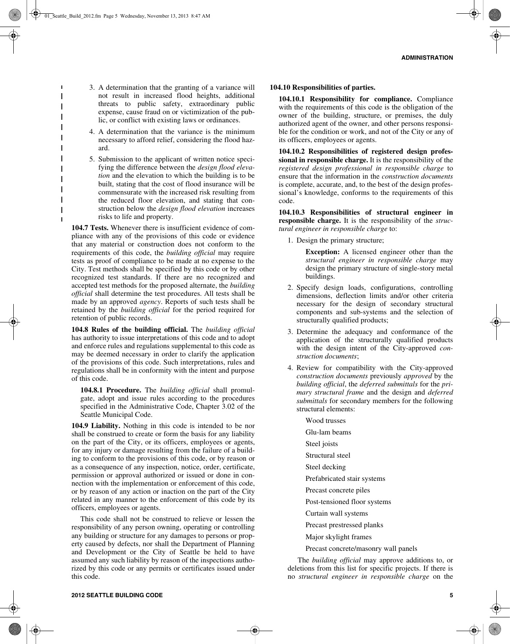3. A determination that the granting of a variance will not result in increased flood heights, additional threats to public safety, extraordinary public expense, cause fraud on or victimization of the public, or conflict with existing laws or ordinances.

 $\blacksquare$  $\overline{1}$  $\overline{1}$ 

 $\mathbf{I}$  $\overline{\phantom{a}}$  $\mathbf{I}$  $\mathbf{I}$  $\overline{\phantom{a}}$  $\overline{\phantom{a}}$  $\mathbf l$  $\blacksquare$  $\overline{\phantom{a}}$  $\overline{\phantom{a}}$ 

- 4. A determination that the variance is the minimum necessary to afford relief, considering the flood hazard.
- 5. Submission to the applicant of written notice specifying the difference between the *design flood elevation* and the elevation to which the building is to be built, stating that the cost of flood insurance will be commensurate with the increased risk resulting from the reduced floor elevation, and stating that construction below the *design flood elevation* increases risks to life and property.

**104.7 Tests.** Whenever there is insufficient evidence of compliance with any of the provisions of this code or evidence that any material or construction does not conform to the requirements of this code, the *building official* may require tests as proof of compliance to be made at no expense to the City. Test methods shall be specified by this code or by other recognized test standards. If there are no recognized and accepted test methods for the proposed alternate, the *building official* shall determine the test procedures. All tests shall be made by an approved *agency*. Reports of such tests shall be retained by the *building official* for the period required for retention of public records.

**104.8 Rules of the building official.** The *building official* has authority to issue interpretations of this code and to adopt and enforce rules and regulations supplemental to this code as may be deemed necessary in order to clarify the application of the provisions of this code. Such interpretations, rules and regulations shall be in conformity with the intent and purpose of this code.

**104.8.1 Procedure.** The *building official* shall promulgate, adopt and issue rules according to the procedures specified in the Administrative Code, Chapter 3.02 of the Seattle Municipal Code.

**104.9 Liability.** Nothing in this code is intended to be nor shall be construed to create or form the basis for any liability on the part of the City, or its officers, employees or agents, for any injury or damage resulting from the failure of a building to conform to the provisions of this code, or by reason or as a consequence of any inspection, notice, order, certificate, permission or approval authorized or issued or done in connection with the implementation or enforcement of this code, or by reason of any action or inaction on the part of the City related in any manner to the enforcement of this code by its officers, employees or agents.

This code shall not be construed to relieve or lessen the responsibility of any person owning, operating or controlling any building or structure for any damages to persons or property caused by defects, nor shall the Department of Planning and Development or the City of Seattle be held to have assumed any such liability by reason of the inspections authorized by this code or any permits or certificates issued under this code.

#### **104.10 Responsibilities of parties.**

**104.10.1 Responsibility for compliance.** Compliance with the requirements of this code is the obligation of the owner of the building, structure, or premises, the duly authorized agent of the owner, and other persons responsible for the condition or work, and not of the City or any of its officers, employees or agents.

**104.10.2 Responsibilities of registered design professional in responsible charge.** It is the responsibility of the *registered design professional in responsible charge* to ensure that the information in the *construction documents* is complete, accurate, and, to the best of the design professional's knowledge, conforms to the requirements of this code.

**104.10.3 Responsibilities of structural engineer in responsible charge.** It is the responsibility of the *structural engineer in responsible charge* to:

1. Design the primary structure;

**Exception:** A licensed engineer other than the *structural engineer in responsible charge* may design the primary structure of single-story metal buildings.

- 2. Specify design loads, configurations, controlling dimensions, deflection limits and/or other criteria necessary for the design of secondary structural components and sub-systems and the selection of structurally qualified products;
- 3. Determine the adequacy and conformance of the application of the structurally qualified products with the design intent of the City-approved *construction documents*;
- 4. Review for compatibility with the City-approved *construction documents* previously *approved* by the *building official*, the *deferred submittals* for the *primary structural frame* and the design and *deferred submittals* for secondary members for the following structural elements:
	- Wood trusses Glu-lam beams Steel joists Structural steel Steel decking Prefabricated stair systems Precast concrete piles Post-tensioned floor systems Curtain wall systems Precast prestressed planks Major skylight frames
		- Precast concrete/masonry wall panels

The *building official* may approve additions to, or deletions from this list for specific projects. If there is no *structural engineer in responsible charge* on the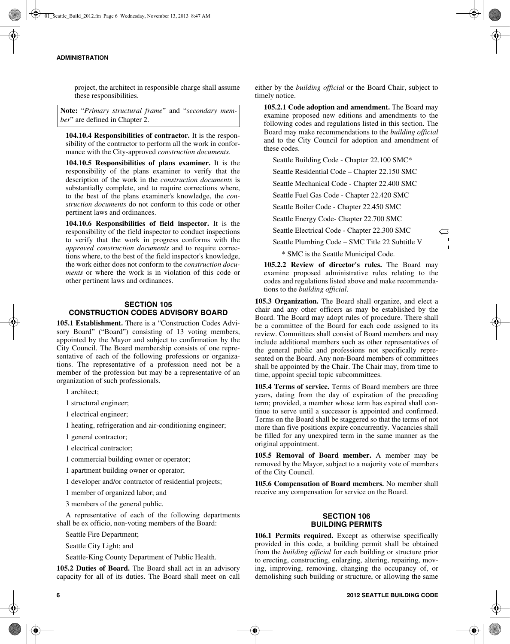#### **ADMINISTRATION**

project, the architect in responsible charge shall assume these responsibilities.

**Note:** "*Primary structural frame*" and "*secondary member*" are defined in Chapter 2.

**104.10.4 Responsibilities of contractor.** It is the responsibility of the contractor to perform all the work in conformance with the City-approved *construction documents*.

**104.10.5 Responsibilities of plans examiner.** It is the responsibility of the plans examiner to verify that the description of the work in the *construction documents* is substantially complete, and to require corrections where, to the best of the plans examiner's knowledge, the *construction documents* do not conform to this code or other pertinent laws and ordinances.

**104.10.6 Responsibilities of field inspector.** It is the responsibility of the field inspector to conduct inspections to verify that the work in progress conforms with the *approved construction documents* and to require corrections where, to the best of the field inspector's knowledge, the work either does not conform to the *construction documents* or where the work is in violation of this code or other pertinent laws and ordinances.

## **SECTION 105 CONSTRUCTION CODES ADVISORY BOARD**

**105.1 Establishment.** There is a "Construction Codes Advisory Board" ("Board") consisting of 13 voting members, appointed by the Mayor and subject to confirmation by the City Council. The Board membership consists of one representative of each of the following professions or organizations. The representative of a profession need not be a member of the profession but may be a representative of an organization of such professionals.

1 architect;

1 structural engineer;

1 electrical engineer;

1 heating, refrigeration and air-conditioning engineer;

1 general contractor;

1 electrical contractor;

1 commercial building owner or operator;

1 apartment building owner or operator;

1 developer and/or contractor of residential projects;

1 member of organized labor; and

3 members of the general public.

A representative of each of the following departments shall be ex officio, non-voting members of the Board:

Seattle Fire Department;

Seattle City Light; and

Seattle-King County Department of Public Health.

**105.2 Duties of Board.** The Board shall act in an advisory capacity for all of its duties. The Board shall meet on call either by the *building official* or the Board Chair, subject to timely notice.

**105.2.1 Code adoption and amendment.** The Board may examine proposed new editions and amendments to the following codes and regulations listed in this section. The Board may make recommendations to the *building official* and to the City Council for adoption and amendment of these codes.

Seattle Building Code - Chapter 22.100 SMC\*

Seattle Residential Code – Chapter 22.150 SMC

Seattle Mechanical Code - Chapter 22.400 SMC

Seattle Fuel Gas Code - Chapter 22.420 SMC

Seattle Boiler Code - Chapter 22.450 SMC

Seattle Energy Code- Chapter 22.700 SMC

Seattle Electrical Code - Chapter 22.300 SMC

Seattle Plumbing Code – SMC Title 22 Subtitle V

 $\hookleftarrow$ 

\* SMC is the Seattle Municipal Code.

**105.2.2 Review of director's rules.** The Board may examine proposed administrative rules relating to the codes and regulations listed above and make recommendations to the *building official*.

**105.3 Organization.** The Board shall organize, and elect a chair and any other officers as may be established by the Board. The Board may adopt rules of procedure. There shall be a committee of the Board for each code assigned to its review. Committees shall consist of Board members and may include additional members such as other representatives of the general public and professions not specifically represented on the Board. Any non-Board members of committees shall be appointed by the Chair. The Chair may, from time to time, appoint special topic subcommittees.

**105.4 Terms of service.** Terms of Board members are three years, dating from the day of expiration of the preceding term; provided, a member whose term has expired shall continue to serve until a successor is appointed and confirmed. Terms on the Board shall be staggered so that the terms of not more than five positions expire concurrently. Vacancies shall be filled for any unexpired term in the same manner as the original appointment.

**105.5 Removal of Board member.** A member may be removed by the Mayor, subject to a majority vote of members of the City Council.

**105.6 Compensation of Board members.** No member shall receive any compensation for service on the Board.

## **SECTION 106 BUILDING PERMITS**

**106.1 Permits required.** Except as otherwise specifically provided in this code, a building permit shall be obtained from the *building official* for each building or structure prior to erecting, constructing, enlarging, altering, repairing, moving, improving, removing, changing the occupancy of, or demolishing such building or structure, or allowing the same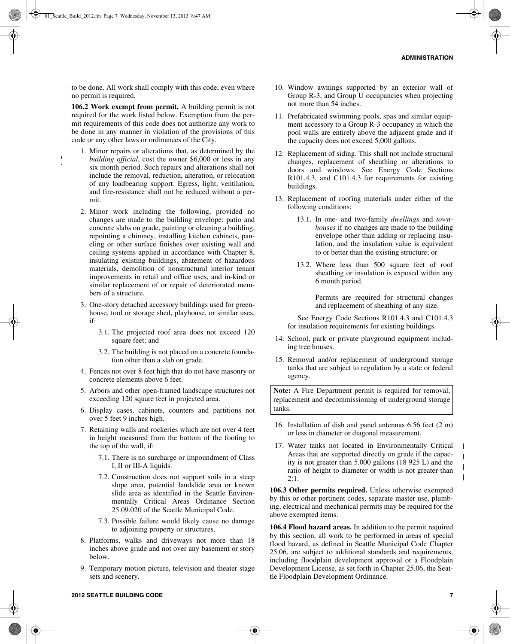to be done. All work shall comply with this code, even where no permit is required.

**106.2 Work exempt from permit.** A building permit is not required for the work listed below. Exemption from the permit requirements of this code does not authorize any work to be done in any manner in violation of the provisions of this code or any other laws or ordinances of the City.

- 1. Minor repairs or alterations that, as determined by the *building official*, cost the owner \$6,000 or less in any six month period. Such repairs and alterations shall not include the removal, reduction, alteration, or relocation of any loadbearing support. Egress, light, ventilation, and fire-resistance shall not be reduced without a permit.
- 2. Minor work including the following, provided no changes are made to the building envelope: patio and concrete slabs on grade, painting or cleaning a building, repointing a chimney, installing kitchen cabinets, paneling or other surface finishes over existing wall and ceiling systems applied in accordance with Chapter 8, insulating existing buildings, abatement of hazardous materials, demolition of nonstructural interior tenant improvements in retail and office uses, and in-kind or similar replacement of or repair of deteriorated members of a structure.
- 3. One-story detached accessory buildings used for greenhouse, tool or storage shed, playhouse, or similar uses, if:
	- 3.1. The projected roof area does not exceed 120 square feet; and
	- 3.2. The building is not placed on a concrete foundation other than a slab on grade.
- 4. Fences not over 8 feet high that do not have masonry or concrete elements above 6 feet.
- 5. Arbors and other open-framed landscape structures not exceeding 120 square feet in projected area.
- 6. Display cases, cabinets, counters and partitions not over 5 feet 9 inches high.
- 7. Retaining walls and rockeries which are not over 4 feet in height measured from the bottom of the footing to the top of the wall, if:
	- 7.1. There is no surcharge or impoundment of Class I, II or III-A liquids.
	- 7.2. Construction does not support soils in a steep slope area, potential landslide area or known slide area as identified in the Seattle Environmentally Critical Areas Ordinance Section 25.09.020 of the Seattle Municipal Code.
	- 7.3. Possible failure would likely cause no damage to adjoining property or structures.
- 8. Platforms, walks and driveways not more than 18 inches above grade and not over any basement or story below.
- 9. Temporary motion picture, television and theater stage sets and scenery.
- 10. Window awnings supported by an exterior wall of Group R-3, and Group U occupancies when projecting not more than 54 inches.
- 11. Prefabricated swimming pools, spas and similar equipment accessory to a Group R-3 occupancy in which the pool walls are entirely above the adjacent grade and if the capacity does not exceed 5,000 gallons.
- 12. Replacement of siding. This shall not include structural changes, replacement of sheathing or alterations to doors and windows. See Energy Code Sections R101.4.3, and C101.4.3 for requirements for existing buildings.
- 13. Replacement of roofing materials under either of the following conditions:
	- 13.1. In one- and two-family *dwellings* and *townhouses* if no changes are made to the building envelope other than adding or replacing insulation, and the insulation value is equivalent to or better than the existing structure; or
	- 13.2. Where less than 500 square feet of roof sheathing or insulation is exposed within any 6 month period.

Permits are required for structural changes and replacement of sheathing of any size.

See Energy Code Sections R101.4.3 and C101.4.3 for insulation requirements for existing buildings.

- 14. School, park or private playground equipment including tree houses.
- 15. Removal and/or replacement of underground storage tanks that are subject to regulation by a state or federal agency.

**Note:** A Fire Department permit is required for removal, replacement and decommissioning of underground storage tanks.

- 16. Installation of dish and panel antennas 6.56 feet (2 m) or less in diameter or diagonal measurement.
- 17. Water tanks not located in Environmentally Critical Areas that are supported directly on grade if the capacity is not greater than 5,000 gallons (18 925 L) and the ratio of height to diameter or width is not greater than 2:1.

**106.3 Other permits required.** Unless otherwise exempted by this or other pertinent codes, separate master use, plumbing, electrical and mechanical permits may be required for the above exempted items.

**106.4 Flood hazard areas.** In addition to the permit required by this section, all work to be performed in areas of special flood hazard, as defined in Seattle Municipal Code Chapter 25.06, are subject to additional standards and requirements, including floodplain development approval or a Floodplain Development License, as set forth in Chapter 25.06, the Seattle Floodplain Development Ordinance.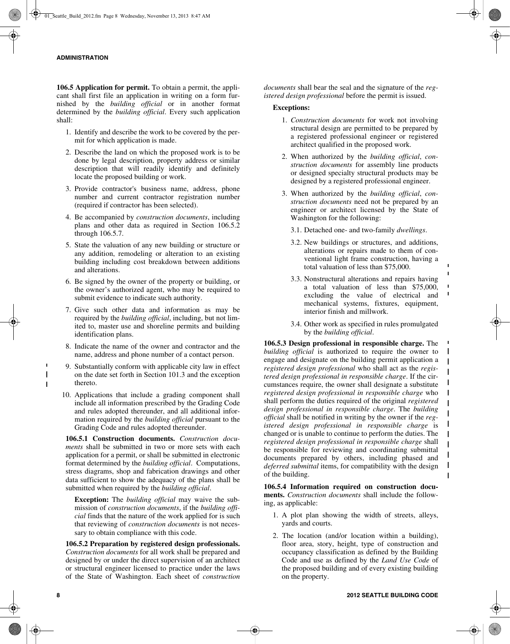**106.5 Application for permit.** To obtain a permit, the applicant shall first file an application in writing on a form furnished by the *building official* or in another format determined by the *building official*. Every such application shall:

- 1. Identify and describe the work to be covered by the permit for which application is made.
- 2. Describe the land on which the proposed work is to be done by legal description, property address or similar description that will readily identify and definitely locate the proposed building or work.
- 3. Provide contractor's business name, address, phone number and current contractor registration number (required if contractor has been selected).
- 4. Be accompanied by *construction documents*, including plans and other data as required in Section 106.5.2 through 106.5.7.
- 5. State the valuation of any new building or structure or any addition, remodeling or alteration to an existing building including cost breakdown between additions and alterations.
- 6. Be signed by the owner of the property or building, or the owner's authorized agent, who may be required to submit evidence to indicate such authority.
- 7. Give such other data and information as may be required by the *building official*, including, but not limited to, master use and shoreline permits and building identification plans.
- 8. Indicate the name of the owner and contractor and the name, address and phone number of a contact person.
- 9. Substantially conform with applicable city law in effect on the date set forth in Section 101.3 and the exception thereto.
- 10. Applications that include a grading component shall include all information prescribed by the Grading Code and rules adopted thereunder, and all additional information required by the *building official* pursuant to the Grading Code and rules adopted thereunder.

**106.5.1 Construction documents.** *Construction documents* shall be submitted in two or more sets with each application for a permit, or shall be submitted in electronic format determined by the *building official*. Computations, stress diagrams, shop and fabrication drawings and other data sufficient to show the adequacy of the plans shall be submitted when required by the *building official*.

**Exception:** The *building official* may waive the submission of *construction documents*, if the *building official* finds that the nature of the work applied for is such that reviewing of *construction documents* is not necessary to obtain compliance with this code.

**106.5.2 Preparation by registered design professionals.** *Construction documents* for all work shall be prepared and designed by or under the direct supervision of an architect or structural engineer licensed to practice under the laws of the State of Washington. Each sheet of *construction* *documents* shall bear the seal and the signature of the *registered design professional* before the permit is issued.

## **Exceptions:**

- 1. *Construction documents* for work not involving structural design are permitted to be prepared by a registered professional engineer or registered architect qualified in the proposed work.
- 2. When authorized by the *building official*, *construction documents* for assembly line products or designed specialty structural products may be designed by a registered professional engineer.
- 3. When authorized by the *building official*, *construction documents* need not be prepared by an engineer or architect licensed by the State of Washington for the following:
	- 3.1. Detached one- and two-family *dwellings*.
	- 3.2. New buildings or structures, and additions, alterations or repairs made to them of conventional light frame construction, having a total valuation of less than \$75,000.

 $\blacksquare$  $\blacksquare$ 

 $\blacksquare$ 

 $\blacksquare$  $\mathbf{I}$  $\mathbf{I}$  $\mathbf{I}$  $\mathbf{I}$  $\mathbf{I}$  $\overline{1}$  $\mathbf{I}$  $\mathbf I$  $\mathbf{I}$  $\mathbf{I}$  $\mathbf{I}$  $\mathbf{I}$  $\mathbf{I}$ 

- 3.3. Nonstructural alterations and repairs having a total valuation of less than \$75,000, excluding the value of electrical and mechanical systems, fixtures, equipment, interior finish and millwork.
- 3.4. Other work as specified in rules promulgated by the *building official*.

**106.5.3 Design professional in responsible charge.** The *building official* is authorized to require the owner to engage and designate on the building permit application a *registered design professional* who shall act as the *registered design professional in responsible charge*. If the circumstances require, the owner shall designate a substitute *registered design professional in responsible charge* who shall perform the duties required of the original *registered design professional in responsible charge*. The *building official* shall be notified in writing by the owner if the *registered design professional in responsible charge* is changed or is unable to continue to perform the duties. The *registered design professional in responsible charge* shall be responsible for reviewing and coordinating submittal documents prepared by others, including phased and *deferred submittal* items, for compatibility with the design of the building.

**106.5.4 Information required on construction documents.** *Construction documents* shall include the following, as applicable:

- 1. A plot plan showing the width of streets, alleys, yards and courts.
- 2. The location (and/or location within a building), floor area, story, height, type of construction and occupancy classification as defined by the Building Code and use as defined by the *Land Use Code* of the proposed building and of every existing building on the property.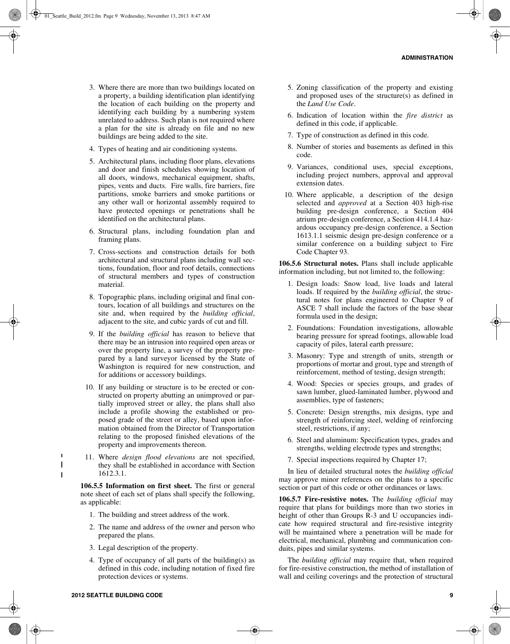- 3. Where there are more than two buildings located on a property, a building identification plan identifying the location of each building on the property and identifying each building by a numbering system unrelated to address. Such plan is not required where a plan for the site is already on file and no new buildings are being added to the site.
- 4. Types of heating and air conditioning systems.
- 5. Architectural plans, including floor plans, elevations and door and finish schedules showing location of all doors, windows, mechanical equipment, shafts, pipes, vents and ducts. Fire walls, fire barriers, fire partitions, smoke barriers and smoke partitions or any other wall or horizontal assembly required to have protected openings or penetrations shall be identified on the architectural plans.
- 6. Structural plans, including foundation plan and framing plans.
- 7. Cross-sections and construction details for both architectural and structural plans including wall sections, foundation, floor and roof details, connections of structural members and types of construction material.
- 8. Topographic plans, including original and final contours, location of all buildings and structures on the site and, when required by the *building official*, adjacent to the site, and cubic yards of cut and fill.
- 9. If the *building official* has reason to believe that there may be an intrusion into required open areas or over the property line, a survey of the property prepared by a land surveyor licensed by the State of Washington is required for new construction, and for additions or accessory buildings.
- 10. If any building or structure is to be erected or constructed on property abutting an unimproved or partially improved street or alley, the plans shall also include a profile showing the established or proposed grade of the street or alley, based upon information obtained from the Director of Transportation relating to the proposed finished elevations of the property and improvements thereon.
- 11. Where *design flood elevations* are not specified, they shall be established in accordance with Section 1612.3.1.

**106.5.5 Information on first sheet.** The first or general note sheet of each set of plans shall specify the following, as applicable:

- 1. The building and street address of the work.
- 2. The name and address of the owner and person who prepared the plans.
- 3. Legal description of the property.
- 4. Type of occupancy of all parts of the building(s) as defined in this code, including notation of fixed fire protection devices or systems.
- 5. Zoning classification of the property and existing and proposed uses of the structure(s) as defined in the *Land Use Code*.
- 6. Indication of location within the *fire district* as defined in this code, if applicable.
- 7. Type of construction as defined in this code.
- 8. Number of stories and basements as defined in this code.
- 9. Variances, conditional uses, special exceptions, including project numbers, approval and approval extension dates.
- 10. Where applicable, a description of the design selected and *approved* at a Section 403 high-rise building pre-design conference, a Section 404 atrium pre-design conference, a Section 414.1.4 hazardous occupancy pre-design conference, a Section 1613.1.1 seismic design pre-design conference or a similar conference on a building subject to Fire Code Chapter 93.

**106.5.6 Structural notes.** Plans shall include applicable information including, but not limited to, the following:

- 1. Design loads: Snow load, live loads and lateral loads. If required by the *building official*, the structural notes for plans engineered to Chapter 9 of ASCE 7 shall include the factors of the base shear formula used in the design;
- 2. Foundations: Foundation investigations, allowable bearing pressure for spread footings, allowable load capacity of piles, lateral earth pressure;
- 3. Masonry: Type and strength of units, strength or proportions of mortar and grout, type and strength of reinforcement, method of testing, design strength;
- 4. Wood: Species or species groups, and grades of sawn lumber, glued-laminated lumber, plywood and assemblies, type of fasteners;
- 5. Concrete: Design strengths, mix designs, type and strength of reinforcing steel, welding of reinforcing steel, restrictions, if any;
- 6. Steel and aluminum: Specification types, grades and strengths, welding electrode types and strengths;
- 7. Special inspections required by Chapter 17;

In lieu of detailed structural notes the *building official* may approve minor references on the plans to a specific section or part of this code or other ordinances or laws.

**106.5.7 Fire-resistive notes.** The *building official* may require that plans for buildings more than two stories in height of other than Groups R-3 and U occupancies indicate how required structural and fire-resistive integrity will be maintained where a penetration will be made for electrical, mechanical, plumbing and communication conduits, pipes and similar systems.

The *building official* may require that, when required for fire-resistive construction, the method of installation of wall and ceiling coverings and the protection of structural

 $\blacksquare$  $\mathbf{I}$  $\mathbf{I}$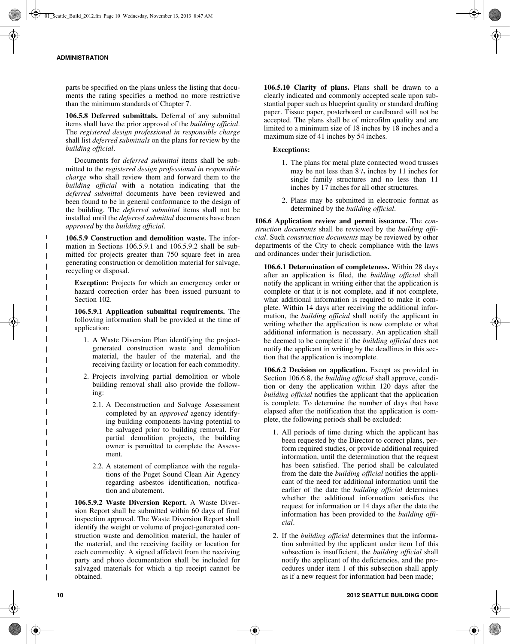parts be specified on the plans unless the listing that documents the rating specifies a method no more restrictive than the minimum standards of Chapter 7.

**106.5.8 Deferred submittals.** Deferral of any submittal items shall have the prior approval of the *building official*. The *registered design professional in responsible charge* shall list *deferred submittals* on the plans for review by the *building official*.

Documents for *deferred submittal* items shall be submitted to the *registered design professional in responsible charge* who shall review them and forward them to the *building official* with a notation indicating that the *deferred submittal* documents have been reviewed and been found to be in general conformance to the design of the building. The *deferred submittal* items shall not be installed until the *deferred submittal* documents have been *approved* by the *building official*.

**106.5.9 Construction and demolition waste.** The information in Sections 106.5.9.1 and 106.5.9.2 shall be submitted for projects greater than 750 square feet in area generating construction or demolition material for salvage, recycling or disposal.

**Exception:** Projects for which an emergency order or hazard correction order has been issued pursuant to Section 102.

**106.5.9.1 Application submittal requirements.** The following information shall be provided at the time of application:

- 1. A Waste Diversion Plan identifying the projectgenerated construction waste and demolition material, the hauler of the material, and the receiving facility or location for each commodity.
- 2. Projects involving partial demolition or whole building removal shall also provide the following:
	- 2.1. A Deconstruction and Salvage Assessment completed by an *approved* agency identifying building components having potential to be salvaged prior to building removal. For partial demolition projects, the building owner is permitted to complete the Assessment.
	- 2.2. A statement of compliance with the regulations of the Puget Sound Clean Air Agency regarding asbestos identification, notification and abatement.

**106.5.9.2 Waste Diversion Report.** A Waste Diversion Report shall be submitted within 60 days of final inspection approval. The Waste Diversion Report shall identify the weight or volume of project-generated construction waste and demolition material, the hauler of the material, and the receiving facility or location for each commodity. A signed affidavit from the receiving party and photo documentation shall be included for salvaged materials for which a tip receipt cannot be obtained.

**106.5.10 Clarity of plans.** Plans shall be drawn to a clearly indicated and commonly accepted scale upon substantial paper such as blueprint quality or standard drafting paper. Tissue paper, posterboard or cardboard will not be accepted. The plans shall be of microfilm quality and are limited to a minimum size of 18 inches by 18 inches and a maximum size of 41 inches by 54 inches.

## **Exceptions:**

- 1. The plans for metal plate connected wood trusses may be not less than  $8^{1}/_{2}$  inches by 11 inches for single family structures and no less than 11 inches by 17 inches for all other structures.
- 2. Plans may be submitted in electronic format as determined by the *building official*.

**106.6 Application review and permit issuance.** The *construction documents* shall be reviewed by the *building official*. Such *construction documents* may be reviewed by other departments of the City to check compliance with the laws and ordinances under their jurisdiction.

**106.6.1 Determination of completeness.** Within 28 days after an application is filed, the *building official* shall notify the applicant in writing either that the application is complete or that it is not complete, and if not complete, what additional information is required to make it complete. Within 14 days after receiving the additional information, the *building official* shall notify the applicant in writing whether the application is now complete or what additional information is necessary. An application shall be deemed to be complete if the *building official* does not notify the applicant in writing by the deadlines in this section that the application is incomplete.

**106.6.2 Decision on application.** Except as provided in Section 106.6.8, the *building official* shall approve, condition or deny the application within 120 days after the *building official* notifies the applicant that the application is complete. To determine the number of days that have elapsed after the notification that the application is complete, the following periods shall be excluded:

- 1. All periods of time during which the applicant has been requested by the Director to correct plans, perform required studies, or provide additional required information, until the determination that the request has been satisfied. The period shall be calculated from the date the *building official* notifies the applicant of the need for additional information until the earlier of the date the *building official* determines whether the additional information satisfies the request for information or 14 days after the date the information has been provided to the *building official*.
- 2. If the *building official* determines that the information submitted by the applicant under item 1of this subsection is insufficient, the *building official* shall notify the applicant of the deficiencies, and the procedures under item 1 of this subsection shall apply as if a new request for information had been made;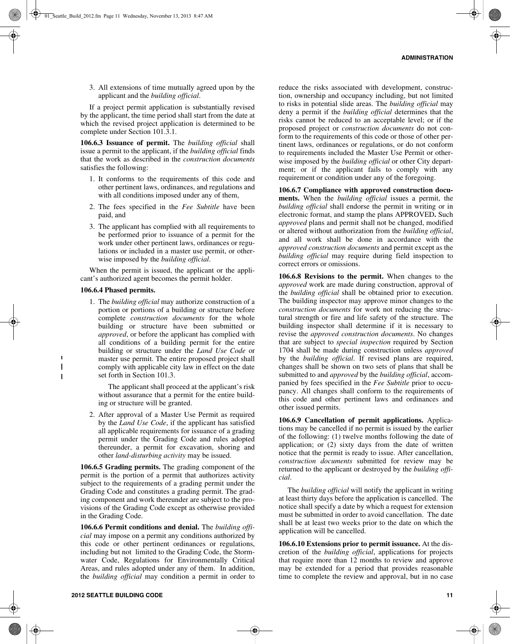3. All extensions of time mutually agreed upon by the applicant and the *building official*.

If a project permit application is substantially revised by the applicant, the time period shall start from the date at which the revised project application is determined to be complete under Section 101.3.1.

**106.6.3 Issuance of permit.** The *building official* shall issue a permit to the applicant, if the *building official* finds that the work as described in the *construction documents* satisfies the following:

- 1. It conforms to the requirements of this code and other pertinent laws, ordinances, and regulations and with all conditions imposed under any of them,
- 2. The fees specified in the *Fee Subtitle* have been paid, and
- 3. The applicant has complied with all requirements to be performed prior to issuance of a permit for the work under other pertinent laws, ordinances or regulations or included in a master use permit, or otherwise imposed by the *building official*.

When the permit is issued, the applicant or the applicant's authorized agent becomes the permit holder.

#### **106.6.4 Phased permits.**

 $\blacksquare$  $\mathbf{I}$  $\overline{\phantom{a}}$ 

1. The *building official* may authorize construction of a portion or portions of a building or structure before complete *construction documents* for the whole building or structure have been submitted or *approved*, or before the applicant has complied with all conditions of a building permit for the entire building or structure under the *Land Use Code* or master use permit. The entire proposed project shall comply with applicable city law in effect on the date set forth in Section 101.3.

The applicant shall proceed at the applicant's risk without assurance that a permit for the entire building or structure will be granted.

2. After approval of a Master Use Permit as required by the *Land Use Code*, if the applicant has satisfied all applicable requirements for issuance of a grading permit under the Grading Code and rules adopted thereunder, a permit for excavation, shoring and other *land-disturbing activity* may be issued.

**106.6.5 Grading permits.** The grading component of the permit is the portion of a permit that authorizes activity subject to the requirements of a grading permit under the Grading Code and constitutes a grading permit. The grading component and work thereunder are subject to the provisions of the Grading Code except as otherwise provided in the Grading Code.

**106.6.6 Permit conditions and denial.** The *building official* may impose on a permit any conditions authorized by this code or other pertinent ordinances or regulations, including but not limited to the Grading Code, the Stormwater Code, Regulations for Environmentally Critical Areas, and rules adopted under any of them. In addition, the *building official* may condition a permit in order to

reduce the risks associated with development, construction, ownership and occupancy including, but not limited to risks in potential slide areas. The *building official* may deny a permit if the *building official* determines that the risks cannot be reduced to an acceptable level; or if the proposed project or *construction documents* do not conform to the requirements of this code or those of other pertinent laws, ordinances or regulations, or do not conform to requirements included the Master Use Permit or otherwise imposed by the *building official* or other City department; or if the applicant fails to comply with any requirement or condition under any of the foregoing.

**106.6.7 Compliance with approved construction documents.** When the *building official* issues a permit, the *building official* shall endorse the permit in writing or in electronic format, and stamp the plans APPROVED**.** Such *approved* plans and permit shall not be changed, modified or altered without authorization from the *building official*, and all work shall be done in accordance with the *approved construction documents* and permit except as the *building official* may require during field inspection to correct errors or omissions.

**106.6.8 Revisions to the permit.** When changes to the *approved* work are made during construction, approval of the *building official* shall be obtained prior to execution. The building inspector may approve minor changes to the *construction documents* for work not reducing the structural strength or fire and life safety of the structure. The building inspector shall determine if it is necessary to revise the *approved construction documents*. No changes that are subject to *special inspection* required by Section 1704 shall be made during construction unless *approved* by the *building official*. If revised plans are required, changes shall be shown on two sets of plans that shall be submitted to and *approved* by the *building official*, accompanied by fees specified in the *Fee Subtitle* prior to occupancy. All changes shall conform to the requirements of this code and other pertinent laws and ordinances and other issued permits.

**106.6.9 Cancellation of permit applications.** Applications may be cancelled if no permit is issued by the earlier of the following: (1) twelve months following the date of application; or (2) sixty days from the date of written notice that the permit is ready to issue. After cancellation, *construction documents* submitted for review may be returned to the applicant or destroyed by the *building official*.

The *building official* will notify the applicant in writing at least thirty days before the application is cancelled. The notice shall specify a date by which a request for extension must be submitted in order to avoid cancellation. The date shall be at least two weeks prior to the date on which the application will be cancelled.

**106.6.10 Extensions prior to permit issuance.** At the discretion of the *building official*, applications for projects that require more than 12 months to review and approve may be extended for a period that provides reasonable time to complete the review and approval, but in no case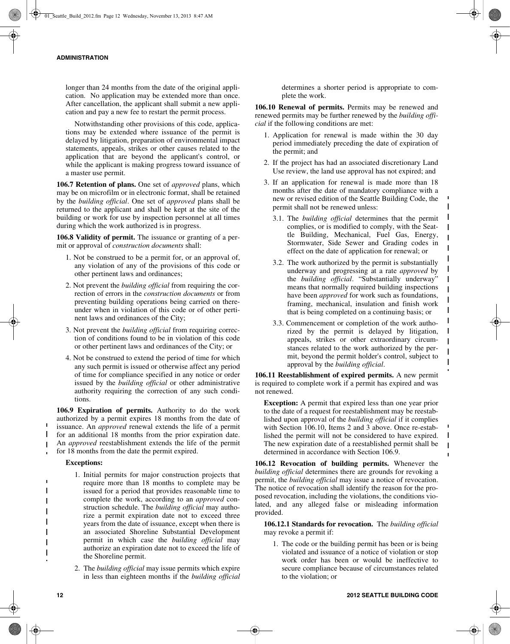longer than 24 months from the date of the original application. No application may be extended more than once. After cancellation, the applicant shall submit a new application and pay a new fee to restart the permit process.

Notwithstanding other provisions of this code, applications may be extended where issuance of the permit is delayed by litigation, preparation of environmental impact statements, appeals, strikes or other causes related to the application that are beyond the applicant's control, or while the applicant is making progress toward issuance of a master use permit.

**106.7 Retention of plans.** One set of *approved* plans, which may be on microfilm or in electronic format, shall be retained by the *building official*. One set of *approved* plans shall be returned to the applicant and shall be kept at the site of the building or work for use by inspection personnel at all times during which the work authorized is in progress.

**106.8 Validity of permit.** The issuance or granting of a permit or approval of *construction documents* shall:

- 1. Not be construed to be a permit for, or an approval of, any violation of any of the provisions of this code or other pertinent laws and ordinances;
- 2. Not prevent the *building official* from requiring the correction of errors in the *construction documents* or from preventing building operations being carried on thereunder when in violation of this code or of other pertinent laws and ordinances of the City;
- 3. Not prevent the *building official* from requiring correction of conditions found to be in violation of this code or other pertinent laws and ordinances of the City; or
- 4. Not be construed to extend the period of time for which any such permit is issued or otherwise affect any period of time for compliance specified in any notice or order issued by the *building official* or other administrative authority requiring the correction of any such conditions.

**106.9 Expiration of permits.** Authority to do the work authorized by a permit expires 18 months from the date of issuance. An *approved* renewal extends the life of a permit for an additional 18 months from the prior expiration date. An *approved* reestablishment extends the life of the permit for 18 months from the date the permit expired.

## **Exceptions:**

 $\mathbf{I}$ 

 $\mathbf{I}$ 

- 1. Initial permits for major construction projects that require more than 18 months to complete may be issued for a period that provides reasonable time to complete the work, according to an *approved* construction schedule. The *building official* may authorize a permit expiration date not to exceed three years from the date of issuance, except when there is an associated Shoreline Substantial Development permit in which case the *building official* may authorize an expiration date not to exceed the life of the Shoreline permit.
- 2. The *building official* may issue permits which expire in less than eighteen months if the *building official*

determines a shorter period is appropriate to complete the work.

**106.10 Renewal of permits.** Permits may be renewed and renewed permits may be further renewed by the *building official* if the following conditions are met:

- 1. Application for renewal is made within the 30 day period immediately preceding the date of expiration of the permit; and
- 2. If the project has had an associated discretionary Land Use review, the land use approval has not expired; and
- 3. If an application for renewal is made more than 18 months after the date of mandatory compliance with a new or revised edition of the Seattle Building Code, the permit shall not be renewed unless:
	- 3.1. The *building official* determines that the permit complies, or is modified to comply, with the Seattle Building, Mechanical, Fuel Gas, Energy, Stormwater, Side Sewer and Grading codes in effect on the date of application for renewal; or

 $\mathbf{I}$  $\mathbf{I}$  $\mathbf{I}$  $\mathbf{I}$  $\mathbf{I}$ 

 $\mathbf I$  $\mathbf{I}$  $\mathbf{I}$ 

 $\mathbf{I}$  $\mathsf{I}$  $\mathbf{I}$  $\mathbf{I}$  $\mathbf{I}$  $\mathbf{I}$ 

 $\mathbf I$  $\mathbf{I}$ 

- 3.2. The work authorized by the permit is substantially underway and progressing at a rate *approved* by the *building official*. "Substantially underway" means that normally required building inspections have been *approved* for work such as foundations, framing, mechanical, insulation and finish work that is being completed on a continuing basis; or
- 3.3. Commencement or completion of the work authorized by the permit is delayed by litigation, appeals, strikes or other extraordinary circumstances related to the work authorized by the permit, beyond the permit holder's control, subject to approval by the *building official*.

**106.11 Reestablishment of expired permits.** A new permit is required to complete work if a permit has expired and was not renewed.

**Exception:** A permit that expired less than one year prior to the date of a request for reestablishment may be reestablished upon approval of the *building official* if it complies with Section 106.10, Items 2 and 3 above. Once re-established the permit will not be considered to have expired. The new expiration date of a reestablished permit shall be determined in accordance with Section 106.9.

**106.12 Revocation of building permits.** Whenever the *building official* determines there are grounds for revoking a permit, the *building official* may issue a notice of revocation. The notice of revocation shall identify the reason for the proposed revocation, including the violations, the conditions violated, and any alleged false or misleading information provided.

**106.12.1 Standards for revocation.** The *building official* may revoke a permit if:

1. The code or the building permit has been or is being violated and issuance of a notice of violation or stop work order has been or would be ineffective to secure compliance because of circumstances related to the violation; or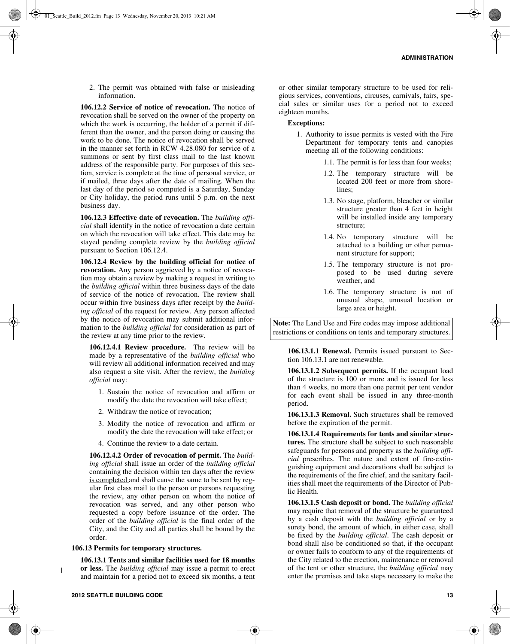2. The permit was obtained with false or misleading information.

**106.12.2 Service of notice of revocation.** The notice of revocation shall be served on the owner of the property on which the work is occurring, the holder of a permit if different than the owner, and the person doing or causing the work to be done. The notice of revocation shall be served in the manner set forth in RCW 4.28.080 for service of a summons or sent by first class mail to the last known address of the responsible party. For purposes of this section, service is complete at the time of personal service, or if mailed, three days after the date of mailing. When the last day of the period so computed is a Saturday, Sunday or City holiday, the period runs until 5 p.m. on the next business day.

**106.12.3 Effective date of revocation.** The *building official* shall identify in the notice of revocation a date certain on which the revocation will take effect. This date may be stayed pending complete review by the *building official* pursuant to Section 106.12.4.

**106.12.4 Review by the building official for notice of revocation.** Any person aggrieved by a notice of revocation may obtain a review by making a request in writing to the *building official* within three business days of the date of service of the notice of revocation. The review shall occur within five business days after receipt by the *building official* of the request for review. Any person affected by the notice of revocation may submit additional information to the *building official* for consideration as part of the review at any time prior to the review.

**106.12.4.1 Review procedure.** The review will be made by a representative of the *building official* who will review all additional information received and may also request a site visit. After the review, the *building official* may:

- 1. Sustain the notice of revocation and affirm or modify the date the revocation will take effect;
- 2. Withdraw the notice of revocation;
- 3. Modify the notice of revocation and affirm or modify the date the revocation will take effect; or
- 4. Continue the review to a date certain.

**106.12.4.2 Order of revocation of permit.** The *building official* shall issue an order of the *building official* containing the decision within ten days after the review is completed and shall cause the same to be sent by regular first class mail to the person or persons requesting the review, any other person on whom the notice of revocation was served, and any other person who requested a copy before issuance of the order. The order of the *building official* is the final order of the City, and the City and all parties shall be bound by the order.

#### **106.13 Permits for temporary structures.**

**106.13.1 Tents and similar facilities used for 18 months or less.** The *building official* may issue a permit to erect and maintain for a period not to exceed six months, a tent or other similar temporary structure to be used for religious services, conventions, circuses, carnivals, fairs, special sales or similar uses for a period not to exceed eighteen months.

## **Exceptions:**

- 1. Authority to issue permits is vested with the Fire Department for temporary tents and canopies meeting all of the following conditions:
	- 1.1. The permit is for less than four weeks;
	- 1.2. The temporary structure will be located 200 feet or more from shorelines<sup>.</sup>
	- 1.3. No stage, platform, bleacher or similar structure greater than 4 feet in height will be installed inside any temporary structure;
	- 1.4. No temporary structure will be attached to a building or other permanent structure for support;
	- 1.5. The temporary structure is not proposed to be used during severe weather, and
	- 1.6. The temporary structure is not of unusual shape, unusual location or large area or height.

**Note:** The Land Use and Fire codes may impose additional restrictions or conditions on tents and temporary structures.

**106.13.1.1 Renewal.** Permits issued pursuant to Section 106.13.1 are not renewable.

**106.13.1.2 Subsequent permits.** If the occupant load of the structure is 100 or more and is issued for less than 4 weeks, no more than one permit per tent vendor for each event shall be issued in any three-month period.

**106.13.1.3 Removal.** Such structures shall be removed before the expiration of the permit.

**106.13.1.4 Requirements for tents and similar structures.** The structure shall be subject to such reasonable safeguards for persons and property as the *building official* prescribes. The nature and extent of fire-extinguishing equipment and decorations shall be subject to the requirements of the fire chief, and the sanitary facilities shall meet the requirements of the Director of Public Health.

**106.13.1.5 Cash deposit or bond.** The *building official* may require that removal of the structure be guaranteed by a cash deposit with the *building official* or by a surety bond, the amount of which, in either case, shall be fixed by the *building official*. The cash deposit or bond shall also be conditioned so that, if the occupant or owner fails to conform to any of the requirements of the City related to the erection, maintenance or removal of the tent or other structure, the *building official* may enter the premises and take steps necessary to make the

 $\mathbf{I}$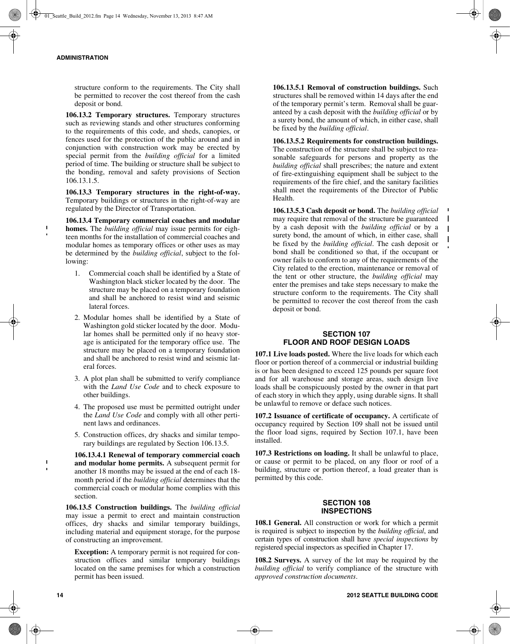$\mathbf{I}$ 

structure conform to the requirements. The City shall be permitted to recover the cost thereof from the cash deposit or bond.

**106.13.2 Temporary structures.** Temporary structures such as reviewing stands and other structures conforming to the requirements of this code, and sheds, canopies, or fences used for the protection of the public around and in conjunction with construction work may be erected by special permit from the *building official* for a limited period of time. The building or structure shall be subject to the bonding, removal and safety provisions of Section 106.13.1.5.

**106.13.3 Temporary structures in the right-of-way.** Temporary buildings or structures in the right-of-way are regulated by the Director of Transportation.

**106.13.4 Temporary commercial coaches and modular homes.** The *building official* may issue permits for eighteen months for the installation of commercial coaches and modular homes as temporary offices or other uses as may be determined by the *building official*, subject to the following:

- 1. Commercial coach shall be identified by a State of Washington black sticker located by the door. The structure may be placed on a temporary foundation and shall be anchored to resist wind and seismic lateral forces.
- 2. Modular homes shall be identified by a State of Washington gold sticker located by the door. Modular homes shall be permitted only if no heavy storage is anticipated for the temporary office use. The structure may be placed on a temporary foundation and shall be anchored to resist wind and seismic lateral forces.
- 3. A plot plan shall be submitted to verify compliance with the *Land Use Code* and to check exposure to other buildings.
- 4. The proposed use must be permitted outright under the *Land Use Code* and comply with all other pertinent laws and ordinances.
- 5. Construction offices, dry shacks and similar temporary buildings are regulated by Section 106.13.5.

**106.13.4.1 Renewal of temporary commercial coach and modular home permits.** A subsequent permit for another 18 months may be issued at the end of each 18 month period if the *building official* determines that the commercial coach or modular home complies with this section.

**106.13.5 Construction buildings.** The *building official* may issue a permit to erect and maintain construction offices, dry shacks and similar temporary buildings, including material and equipment storage, for the purpose of constructing an improvement.

**Exception:** A temporary permit is not required for construction offices and similar temporary buildings located on the same premises for which a construction permit has been issued.

**106.13.5.1 Removal of construction buildings.** Such structures shall be removed within 14 days after the end of the temporary permit's term. Removal shall be guaranteed by a cash deposit with the *building official* or by a surety bond, the amount of which, in either case, shall be fixed by the *building official*.

**106.13.5.2 Requirements for construction buildings.** The construction of the structure shall be subject to reasonable safeguards for persons and property as the *building official* shall prescribes; the nature and extent of fire-extinguishing equipment shall be subject to the requirements of the fire chief, and the sanitary facilities shall meet the requirements of the Director of Public Health.

**106.13.5.3 Cash deposit or bond.** The *building official* may require that removal of the structure be guaranteed by a cash deposit with the *building official* or by a surety bond, the amount of which, in either case, shall be fixed by the *building official*. The cash deposit or bond shall be conditioned so that, if the occupant or owner fails to conform to any of the requirements of the City related to the erection, maintenance or removal of the tent or other structure, the *building official* may enter the premises and take steps necessary to make the structure conform to the requirements. The City shall be permitted to recover the cost thereof from the cash deposit or bond.

 $\mathbf{I}$ 

 $\mathbf{I}$  $\mathbf{I}$ 

## **SECTION 107 FLOOR AND ROOF DESIGN LOADS**

**107.1 Live loads posted.** Where the live loads for which each floor or portion thereof of a commercial or industrial building is or has been designed to exceed 125 pounds per square foot and for all warehouse and storage areas, such design live loads shall be conspicuously posted by the owner in that part of each story in which they apply, using durable signs. It shall be unlawful to remove or deface such notices.

**107.2 Issuance of certificate of occupancy.** A certificate of occupancy required by Section 109 shall not be issued until the floor load signs, required by Section 107.1, have been installed.

**107.3 Restrictions on loading.** It shall be unlawful to place, or cause or permit to be placed, on any floor or roof of a building, structure or portion thereof, a load greater than is permitted by this code.

## **SECTION 108 INSPECTIONS**

**108.1 General.** All construction or work for which a permit is required is subject to inspection by the *building official*, and certain types of construction shall have *special inspections* by registered special inspectors as specified in Chapter 17.

**108.2 Surveys.** A survey of the lot may be required by the *building official* to verify compliance of the structure with *approved construction documents*.

 $\mathbf{I}$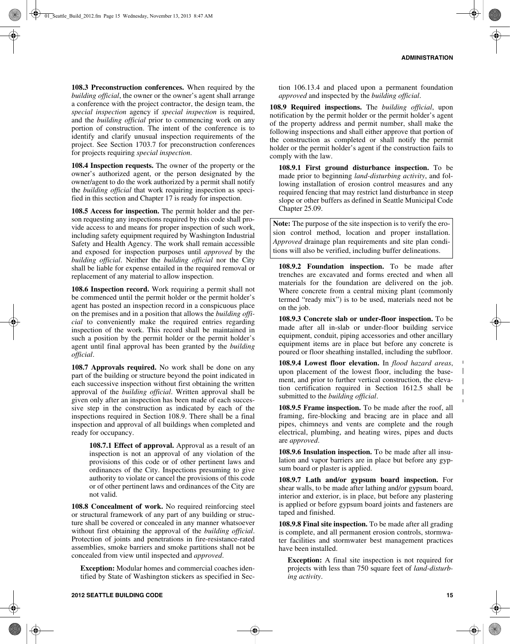**108.3 Preconstruction conferences.** When required by the *building official*, the owner or the owner's agent shall arrange a conference with the project contractor, the design team, the *special inspection* agency if *special inspection* is required, and the *building official* prior to commencing work on any portion of construction. The intent of the conference is to identify and clarify unusual inspection requirements of the project. See Section 1703.7 for preconstruction conferences for projects requiring *special inspection*.

**108.4 Inspection requests.** The owner of the property or the owner's authorized agent, or the person designated by the owner/agent to do the work authorized by a permit shall notify the *building official* that work requiring inspection as specified in this section and Chapter 17 is ready for inspection.

**108.5 Access for inspection.** The permit holder and the person requesting any inspections required by this code shall provide access to and means for proper inspection of such work, including safety equipment required by Washington Industrial Safety and Health Agency. The work shall remain accessible and exposed for inspection purposes until *approved* by the *building official*. Neither the *building official* nor the City shall be liable for expense entailed in the required removal or replacement of any material to allow inspection.

**108.6 Inspection record.** Work requiring a permit shall not be commenced until the permit holder or the permit holder's agent has posted an inspection record in a conspicuous place on the premises and in a position that allows the *building official* to conveniently make the required entries regarding inspection of the work. This record shall be maintained in such a position by the permit holder or the permit holder's agent until final approval has been granted by the *building official*.

**108.7 Approvals required.** No work shall be done on any part of the building or structure beyond the point indicated in each successive inspection without first obtaining the written approval of the *building official*. Written approval shall be given only after an inspection has been made of each successive step in the construction as indicated by each of the inspections required in Section 108.9. There shall be a final inspection and approval of all buildings when completed and ready for occupancy.

**108.7.1 Effect of approval.** Approval as a result of an inspection is not an approval of any violation of the provisions of this code or of other pertinent laws and ordinances of the City. Inspections presuming to give authority to violate or cancel the provisions of this code or of other pertinent laws and ordinances of the City are not valid.

**108.8 Concealment of work.** No required reinforcing steel or structural framework of any part of any building or structure shall be covered or concealed in any manner whatsoever without first obtaining the approval of the *building official*. Protection of joints and penetrations in fire-resistance-rated assemblies, smoke barriers and smoke partitions shall not be concealed from view until inspected and *approved*.

**Exception:** Modular homes and commercial coaches identified by State of Washington stickers as specified in Sec-

tion 106.13.4 and placed upon a permanent foundation *approved* and inspected by the *building official*.

**108.9 Required inspections.** The *building official*, upon notification by the permit holder or the permit holder's agent of the property address and permit number, shall make the following inspections and shall either approve that portion of the construction as completed or shall notify the permit holder or the permit holder's agent if the construction fails to comply with the law.

**108.9.1 First ground disturbance inspection.** To be made prior to beginning *land-disturbing activity*, and following installation of erosion control measures and any required fencing that may restrict land disturbance in steep slope or other buffers as defined in Seattle Municipal Code Chapter 25.09.

**Note:** The purpose of the site inspection is to verify the erosion control method, location and proper installation. *Approved* drainage plan requirements and site plan conditions will also be verified, including buffer delineations.

**108.9.2 Foundation inspection.** To be made after trenches are excavated and forms erected and when all materials for the foundation are delivered on the job. Where concrete from a central mixing plant (commonly termed "ready mix") is to be used, materials need not be on the job.

**108.9.3 Concrete slab or under-floor inspection.** To be made after all in-slab or under-floor building service equipment, conduit, piping accessories and other ancillary equipment items are in place but before any concrete is poured or floor sheathing installed, including the subfloor.

**108.9.4 Lowest floor elevation.** In *flood hazard areas*, upon placement of the lowest floor, including the basement, and prior to further vertical construction, the elevation certification required in Section 1612.5 shall be submitted to the *building official*.

**108.9.5 Frame inspection.** To be made after the roof, all framing, fire-blocking and bracing are in place and all pipes, chimneys and vents are complete and the rough electrical, plumbing, and heating wires, pipes and ducts are *approved*.

**108.9.6 Insulation inspection.** To be made after all insulation and vapor barriers are in place but before any gypsum board or plaster is applied.

**108.9.7 Lath and/or gypsum board inspection.** For shear walls, to be made after lathing and/or gypsum board, interior and exterior, is in place, but before any plastering is applied or before gypsum board joints and fasteners are taped and finished.

**108.9.8 Final site inspection.** To be made after all grading is complete, and all permanent erosion controls, stormwater facilities and stormwater best management practices have been installed.

**Exception:** A final site inspection is not required for projects with less than 750 square feet of *land-disturbing activity*.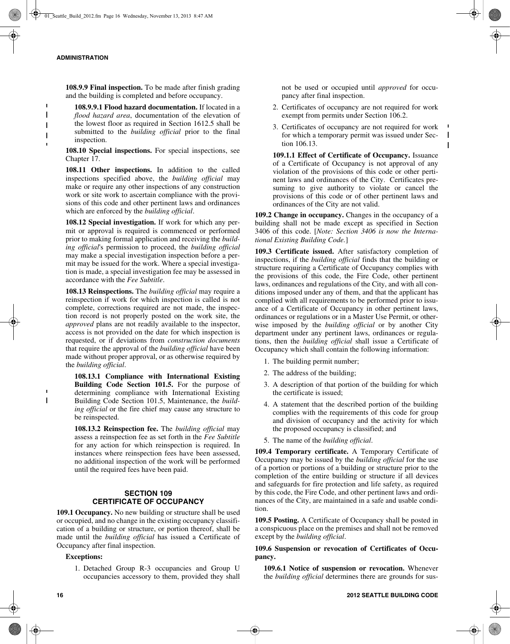**108.9.9 Final inspection.** To be made after finish grading and the building is completed and before occupancy.

**108.9.9.1 Flood hazard documentation.** If located in a *flood hazard area*, documentation of the elevation of the lowest floor as required in Section 1612.5 shall be submitted to the *building official* prior to the final inspection.

**108.10 Special inspections.** For special inspections, see Chapter 17.

**108.11 Other inspections.** In addition to the called inspections specified above, the *building official* may make or require any other inspections of any construction work or site work to ascertain compliance with the provisions of this code and other pertinent laws and ordinances which are enforced by the *building official*.

**108.12 Special investigation.** If work for which any permit or approval is required is commenced or performed prior to making formal application and receiving the *building official*'s permission to proceed, the *building official* may make a special investigation inspection before a permit may be issued for the work. Where a special investigation is made, a special investigation fee may be assessed in accordance with the *Fee Subtitle*.

**108.13 Reinspections.** The *building official* may require a reinspection if work for which inspection is called is not complete, corrections required are not made, the inspection record is not properly posted on the work site, the *approved* plans are not readily available to the inspector, access is not provided on the date for which inspection is requested, or if deviations from *construction documents* that require the approval of the *building official* have been made without proper approval, or as otherwise required by the *building official*.

**108.13.1 Compliance with International Existing Building Code Section 101.5.** For the purpose of determining compliance with International Existing Building Code Section 101.5, Maintenance, the *building official* or the fire chief may cause any structure to be reinspected.

**108.13.2 Reinspection fee.** The *building official* may assess a reinspection fee as set forth in the *Fee Subtitle* for any action for which reinspection is required. In instances where reinspection fees have been assessed, no additional inspection of the work will be performed until the required fees have been paid.

## **SECTION 109 CERTIFICATE OF OCCUPANCY**

**109.1 Occupancy.** No new building or structure shall be used or occupied, and no change in the existing occupancy classification of a building or structure, or portion thereof, shall be made until the *building official* has issued a Certificate of Occupancy after final inspection.

#### **Exceptions:**

1. Detached Group R-3 occupancies and Group U occupancies accessory to them, provided they shall not be used or occupied until *approved* for occupancy after final inspection.

- 2. Certificates of occupancy are not required for work exempt from permits under Section 106.2.
- 3. Certificates of occupancy are not required for work for which a temporary permit was issued under Section 106.13.

 $\mathbf{I}$  $\mathbf{I}$ 

**109.1.1 Effect of Certificate of Occupancy.** Issuance of a Certificate of Occupancy is not approval of any violation of the provisions of this code or other pertinent laws and ordinances of the City. Certificates presuming to give authority to violate or cancel the provisions of this code or of other pertinent laws and ordinances of the City are not valid.

**109.2 Change in occupancy.** Changes in the occupancy of a building shall not be made except as specified in Section 3406 of this code. [*Note: Section 3406 is now the International Existing Building Code.*]

**109.3 Certificate issued.** After satisfactory completion of inspections, if the *building official* finds that the building or structure requiring a Certificate of Occupancy complies with the provisions of this code, the Fire Code, other pertinent laws, ordinances and regulations of the City, and with all conditions imposed under any of them, and that the applicant has complied with all requirements to be performed prior to issuance of a Certificate of Occupancy in other pertinent laws, ordinances or regulations or in a Master Use Permit, or otherwise imposed by the *building official* or by another City department under any pertinent laws, ordinances or regulations, then the *building official* shall issue a Certificate of Occupancy which shall contain the following information:

- 1. The building permit number;
- 2. The address of the building;
- 3. A description of that portion of the building for which the certificate is issued;
- 4. A statement that the described portion of the building complies with the requirements of this code for group and division of occupancy and the activity for which the proposed occupancy is classified; and
- 5. The name of the *building official*.

**109.4 Temporary certificate.** A Temporary Certificate of Occupancy may be issued by the *building official* for the use of a portion or portions of a building or structure prior to the completion of the entire building or structure if all devices and safeguards for fire protection and life safety, as required by this code, the Fire Code, and other pertinent laws and ordinances of the City, are maintained in a safe and usable condition.

**109.5 Posting.** A Certificate of Occupancy shall be posted in a conspicuous place on the premises and shall not be removed except by the *building official*.

**109.6 Suspension or revocation of Certificates of Occupancy.**

**109.6.1 Notice of suspension or revocation.** Whenever the *building official* determines there are grounds for sus